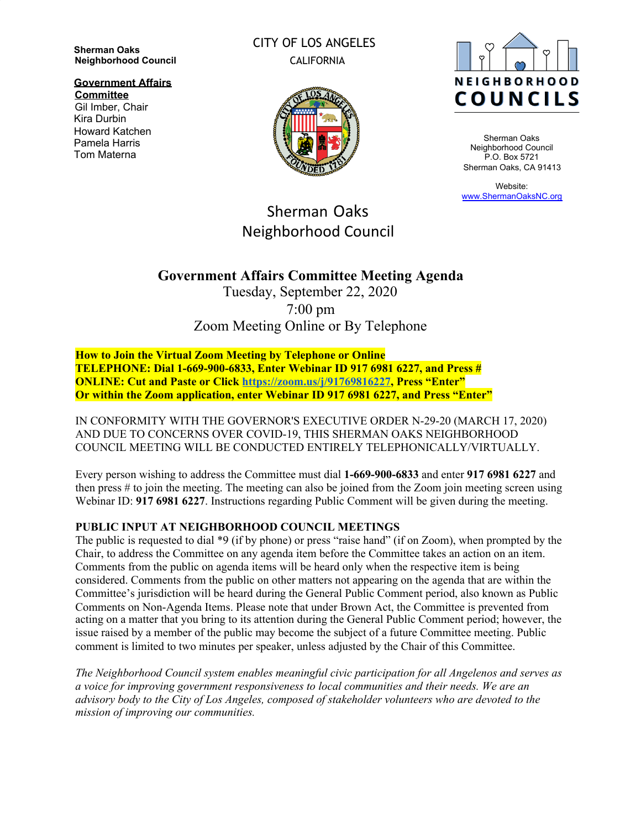**Sherman Oaks Neighborhood Council**

**Government Affairs Committee**

Gil Imber, Chair Kira Durbin Howard Katchen Pamela Harris Tom Materna

CITY OF LOS ANGELES CALIFORNIA



Sherman Oaks Neighborhood Council P.O. Box 5721 Sherman Oaks, CA 91413

Website: [www.ShermanOaksNC.org](http://www.shermanoaksnc.org/)

# Sherman Oaks Neighborhood Council

# **Government Affairs Committee Meeting Agenda**

Tuesday, September 22, 2020 7:00 pm Zoom Meeting Online or By Telephone

**How to Join the Virtual Zoom Meeting by Telephone or Online TELEPHONE: Dial 1-669-900-6833, Enter Webinar ID 917 6981 6227, and Press # ONLINE: Cut and Paste or Click [https://zoom.us/j/91769816227,](https://zoom.us/j/91769816227) Press "Enter" Or within the Zoom application, enter Webinar ID 917 6981 6227, and Press "Enter"**

IN CONFORMITY WITH THE GOVERNOR'S EXECUTIVE ORDER N-29-20 (MARCH 17, 2020) AND DUE TO CONCERNS OVER COVID-19, THIS SHERMAN OAKS NEIGHBORHOOD COUNCIL MEETING WILL BE CONDUCTED ENTIRELY TELEPHONICALLY/VIRTUALLY.

Every person wishing to address the Committee must dial **1-669-900-6833** and enter **917 6981 6227** and then press # to join the meeting. The meeting can also be joined from the Zoom join meeting screen using Webinar ID: **917 6981 6227**. Instructions regarding Public Comment will be given during the meeting.

#### **PUBLIC INPUT AT NEIGHBORHOOD COUNCIL MEETINGS**

The public is requested to dial \*9 (if by phone) or press "raise hand" (if on Zoom), when prompted by the Chair, to address the Committee on any agenda item before the Committee takes an action on an item. Comments from the public on agenda items will be heard only when the respective item is being considered. Comments from the public on other matters not appearing on the agenda that are within the Committee's jurisdiction will be heard during the General Public Comment period, also known as Public Comments on Non-Agenda Items. Please note that under Brown Act, the Committee is prevented from acting on a matter that you bring to its attention during the General Public Comment period; however, the issue raised by a member of the public may become the subject of a future Committee meeting. Public comment is limited to two minutes per speaker, unless adjusted by the Chair of this Committee.

*The Neighborhood Council system enables meaningful civic participation for all Angelenos and serves as a voice for improving government responsiveness to local communities and their needs. We are an advisory body to the City of Los Angeles, composed of stakeholder volunteers who are devoted to the mission of improving our communities.*

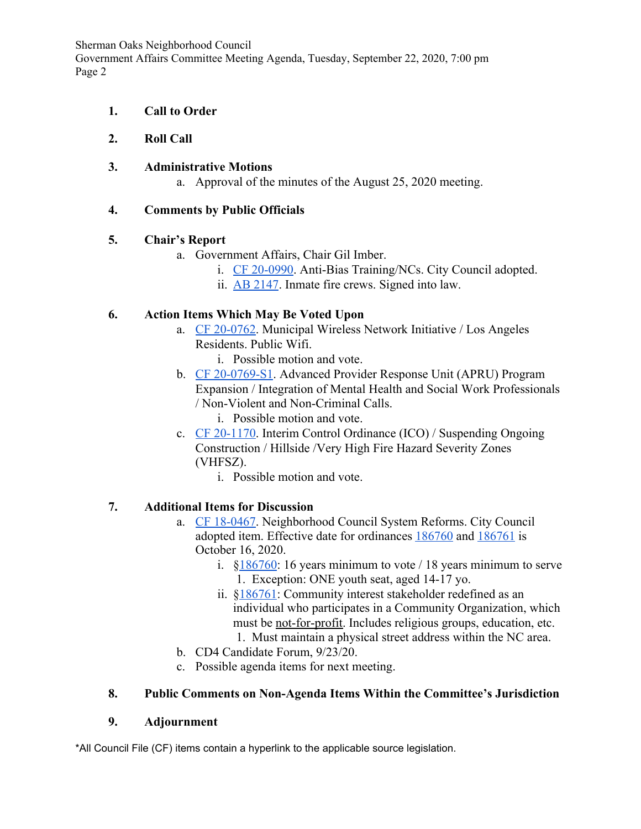Sherman Oaks Neighborhood Council

Government Affairs Committee Meeting Agenda, Tuesday, September 22, 2020, 7:00 pm Page 2

- **1. Call to Order**
- **2. Roll Call**
- **3. Administrative Motions**
	- a. Approval of the minutes of the August 25, 2020 meeting.

## **4. Comments by Public Officials**

## **5. Chair's Report**

- a. Government Affairs, Chair Gil Imber.
	- i. [CF 20-0990](https://cityclerk.lacity.org/lacityclerkconnect/index.cfm?fa=ccfi.viewrecord&cfnumber=20-0990). Anti-Bias Training/NCs. City Council adopted.
	- ii. [AB 2147](https://www.gov.ca.gov/2020/09/11/governor-newsom-signs-bill-eliminating-barriers-that-block-former-inmate-fire-crews-from-becoming-career-firefighters-after-serving-their-sentences/). Inmate fire crews. Signed into law.

## **6. Action Items Which May Be Voted Upon**

- a. [CF 20-0762](https://cityclerk.lacity.org/lacityclerkconnect/index.cfm?fa=ccfi.viewrecord&cfnumber=20-0762). Municipal Wireless Network Initiative / Los Angeles Residents. Public Wifi.
	- i. Possible motion and vote.
- b. [CF 20-0769-S1](https://cityclerk.lacity.org/lacityclerkconnect/index.cfm?fa=ccfi.viewrecord&cfnumber=20-0769-S1). Advanced Provider Response Unit (APRU) Program Expansion / Integration of Mental Health and Social Work Professionals / Non-Violent and Non-Criminal Calls.
	- i. Possible motion and vote.
- c. [CF 20-1170](https://cityclerk.lacity.org/lacityclerkconnect/index.cfm?fa=ccfi.viewrecord&cfnumber=20-1170). Interim Control Ordinance (ICO) / Suspending Ongoing Construction / Hillside /Very High Fire Hazard Severity Zones (VHFSZ).
	- i. Possible motion and vote.

# **7. Additional Items for Discussion**

- a. [CF 18-0467](https://cityclerk.lacity.org/lacityclerkconnect/index.cfm?fa=ccfi.viewrecord&cfnumber=18-0467). Neighborhood Council System Reforms. City Council adopted item. Effective date for ordinances [186760](https://clkrep.lacity.org/onlinedocs/2018/18-0467_ORD_186760_10-16-2020.pdf) and [186761](https://clkrep.lacity.org/onlinedocs/2018/18-0467_ORD_186761_10-16-2020.pdf) is October 16, 2020.
	- i. §[186760:](https://clkrep.lacity.org/onlinedocs/2018/18-0467_ORD_186760_10-16-2020.pdf) 16 years minimum to vote / 18 years minimum to serve 1. Exception: ONE youth seat, aged 14-17 yo.
	- ii. §[186761:](https://clkrep.lacity.org/onlinedocs/2018/18-0467_ORD_186761_10-16-2020.pdf) Community interest stakeholder redefined as an individual who participates in a Community Organization, which must be not-for-profit. Includes religious groups, education, etc. 1. Must maintain a physical street address within the NC area.
- b. CD4 Candidate Forum, 9/23/20.
- c. Possible agenda items for next meeting.

#### **8. Public Comments on Non-Agenda Items Within the Committee's Jurisdiction**

#### **9. Adjournment**

\*All Council File (CF) items contain a hyperlink to the applicable source legislation.